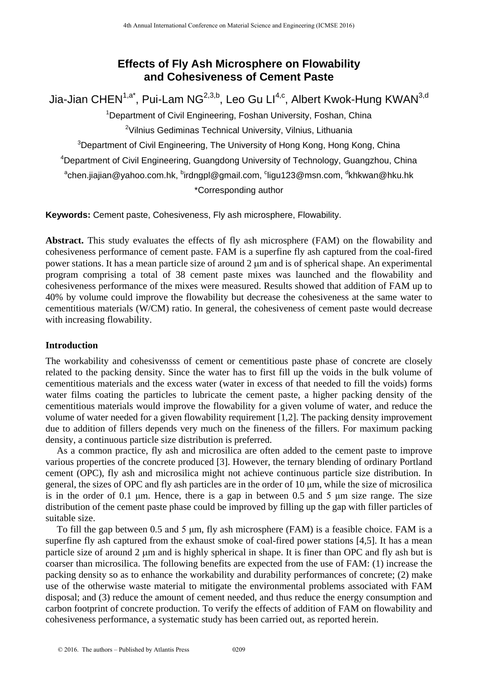# **Effects of Fly Ash Microsphere on Flowability and Cohesiveness of Cement Paste**

Jia-Jian CHEN<sup>1,a\*</sup>, Pui-Lam NG<sup>2,3,b</sup>, Leo Gu Ll<sup>4,c</sup>, Albert Kwok-Hung KWAN<sup>3,d</sup> <sup>1</sup>Department of Civil Engineering, Foshan University, Foshan, China <sup>2</sup>Vilnius Gediminas Technical University, Vilnius, Lithuania <sup>3</sup>Department of Civil Engineering, The University of Hong Kong, Hong Kong, China <sup>4</sup>Department of Civil Engineering, Guangdong University of Technology, Guangzhou, China <sup>a</sup>chen.jiajian@yahoo.com.hk, <sup>b</sup>irdngpl@gmail.com, <sup>c</sup>ligu123@msn.com, <sup>d</sup>khkwan@hku.hk \*Corresponding author <sup>18</sup> <sup>th</sup> Annual International Conference on Karen Science on **Flowabilli**<br> **220 Effects of Fly Ash Microsphere on Flowabillity**<br> **231 Conference on The authority and Conference on The authority Freshand University, F** 

**Keywords:** Cement paste, Cohesiveness, Fly ash microsphere, Flowability.

**Abstract.** This study evaluates the effects of fly ash microsphere (FAM) on the flowability and cohesiveness performance of cement paste. FAM is a superfine fly ash captured from the coal-fired power stations. It has a mean particle size of around 2 µm and is of spherical shape. An experimental program comprising a total of 38 cement paste mixes was launched and the flowability and cohesiveness performance of the mixes were measured. Results showed that addition of FAM up to 40% by volume could improve the flowability but decrease the cohesiveness at the same water to cementitious materials (W/CM) ratio. In general, the cohesiveness of cement paste would decrease with increasing flowability.

### **Introduction**

The workability and cohesivensss of cement or cementitious paste phase of concrete are closely related to the packing density. Since the water has to first fill up the voids in the bulk volume of cementitious materials and the excess water (water in excess of that needed to fill the voids) forms water films coating the particles to lubricate the cement paste, a higher packing density of the cementitious materials would improve the flowability for a given volume of water, and reduce the volume of water needed for a given flowability requirement [1,2]. The packing density improvement due to addition of fillers depends very much on the fineness of the fillers. For maximum packing density, a continuous particle size distribution is preferred.

As a common practice, fly ash and microsilica are often added to the cement paste to improve various properties of the concrete produced [3]. However, the ternary blending of ordinary Portland cement (OPC), fly ash and microsilica might not achieve continuous particle size distribution. In general, the sizes of OPC and fly ash particles are in the order of 10 μm, while the size of microsilica is in the order of 0.1 μm. Hence, there is a gap in between 0.5 and 5 μm size range. The size distribution of the cement paste phase could be improved by filling up the gap with filler particles of suitable size.

To fill the gap between 0.5 and 5 μm, fly ash microsphere (FAM) is a feasible choice. FAM is a superfine fly ash captured from the exhaust smoke of coal-fired power stations [4,5]. It has a mean particle size of around 2 µm and is highly spherical in shape. It is finer than OPC and fly ash but is coarser than microsilica. The following benefits are expected from the use of FAM: (1) increase the packing density so as to enhance the workability and durability performances of concrete; (2) make use of the otherwise waste material to mitigate the environmental problems associated with FAM disposal; and (3) reduce the amount of cement needed, and thus reduce the energy consumption and carbon footprint of concrete production. To verify the effects of addition of FAM on flowability and cohesiveness performance, a systematic study has been carried out, as reported herein.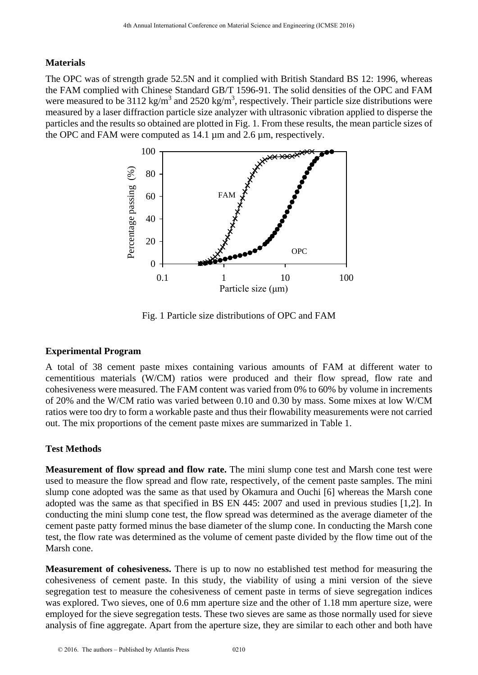#### **Materials**

The OPC was of strength grade 52.5N and it complied with British Standard BS 12: 1996, whereas the FAM complied with Chinese Standard GB/T 1596-91. The solid densities of the OPC and FAM were measured to be 3112 kg/m<sup>3</sup> and 2520 kg/m<sup>3</sup>, respectively. Their particle size distributions were measured by a laser diffraction particle size analyzer with ultrasonic vibration applied to disperse the particles and the results so obtained are plotted in Fig. 1. From these results, the mean particle sizes of the OPC and FAM were computed as 14.1 µm and 2.6 µm, respectively.



Fig. 1 Particle size distributions of OPC and FAM

#### **Experimental Program**

A total of 38 cement paste mixes containing various amounts of FAM at different water to cementitious materials (W/CM) ratios were produced and their flow spread, flow rate and cohesiveness were measured. The FAM content was varied from 0% to 60% by volume in increments of 20% and the W/CM ratio was varied between 0.10 and 0.30 by mass. Some mixes at low W/CM ratios were too dry to form a workable paste and thus their flowability measurements were not carried out. The mix proportions of the cement paste mixes are summarized in Table 1.

### **Test Methods**

**Measurement of flow spread and flow rate.** The mini slump cone test and Marsh cone test were used to measure the flow spread and flow rate, respectively, of the cement paste samples. The mini slump cone adopted was the same as that used by Okamura and Ouchi [6] whereas the Marsh cone adopted was the same as that specified in BS EN 445: 2007 and used in previous studies [1,2]. In conducting the mini slump cone test, the flow spread was determined as the average diameter of the cement paste patty formed minus the base diameter of the slump cone. In conducting the Marsh cone test, the flow rate was determined as the volume of cement paste divided by the flow time out of the Marsh cone.

**Measurement of cohesiveness.** There is up to now no established test method for measuring the cohesiveness of cement paste. In this study, the viability of using a mini version of the sieve segregation test to measure the cohesiveness of cement paste in terms of sieve segregation indices was explored. Two sieves, one of 0.6 mm aperture size and the other of 1.18 mm aperture size, were employed for the sieve segregation tests. These two sieves are same as those normally used for sieve analysis of fine aggregate. Apart from the aperture size, they are similar to each other and both have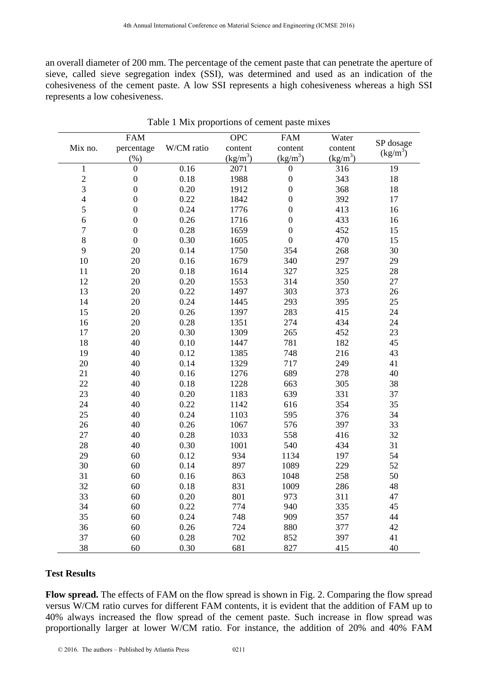an overall diameter of 200 mm. The percentage of the cement paste that can penetrate the aperture of sieve, called sieve segregation index (SSI), was determined and used as an indication of the cohesiveness of the cement paste. A low SSI represents a high cohesiveness whereas a high SSI represents a low cohesiveness.

|                          |                                    |              |                                     | Table 1 Mix proportions of cement paste mixes |                                |                         |
|--------------------------|------------------------------------|--------------|-------------------------------------|-----------------------------------------------|--------------------------------|-------------------------|
| Mix no.                  | <b>FAM</b><br>percentage<br>$(\%)$ | W/CM ratio   | <b>OPC</b><br>content<br>$(kg/m^3)$ | <b>FAM</b><br>content<br>$(kg/m^3)$           | Water<br>content<br>$(kg/m^3)$ | SP dosage<br>$(kg/m^3)$ |
| $\mathbf{1}$             | $\overline{0}$                     | 0.16         | 2071                                | $\theta$                                      | 316                            | 19                      |
| $\overline{c}$           | $\boldsymbol{0}$                   | 0.18         | 1988                                | $\theta$                                      | 343                            | 18                      |
| 3                        | $\boldsymbol{0}$                   | 0.20         | 1912                                | $\boldsymbol{0}$                              | 368                            | 18                      |
| $\overline{\mathcal{A}}$ | $\overline{0}$                     | 0.22         | 1842                                | $\theta$                                      | 392                            | 17                      |
| 5                        | $\boldsymbol{0}$                   | 0.24         | 1776                                | $\boldsymbol{0}$                              | 413                            | 16                      |
| 6                        | $\boldsymbol{0}$                   | 0.26         | 1716                                | $\boldsymbol{0}$                              | 433                            | 16                      |
| $\tau$                   | $\boldsymbol{0}$                   | 0.28         | 1659                                | $\boldsymbol{0}$                              | 452                            | 15                      |
| $\,8\,$                  | $\overline{0}$                     | 0.30         | 1605                                | $\Omega$                                      | 470                            | 15                      |
| 9                        | 20                                 | 0.14         | 1750                                | 354                                           | 268                            | 30                      |
| 10                       | 20                                 | 0.16         | 1679                                | 340                                           | 297                            | 29                      |
| 11                       | 20                                 | 0.18         | 1614                                | 327                                           | 325                            | 28                      |
| 12                       | 20                                 | 0.20         | 1553                                | 314                                           | 350                            | 27                      |
| 13                       | 20                                 | 0.22         | 1497                                | 303                                           | 373                            | 26                      |
| 14                       | 20                                 | 0.24         | 1445                                | 293                                           | 395                            | 25                      |
| 15                       | 20                                 | 0.26         | 1397                                | 283                                           | 415                            | 24                      |
| 16                       | 20                                 | 0.28         | 1351                                | 274                                           | 434                            | 24                      |
| 17                       | 20                                 | 0.30         | 1309                                | 265                                           | 452                            | 23                      |
| 18                       | 40                                 | 0.10         | 1447                                | 781                                           | 182                            | 45                      |
| 19                       | 40                                 | 0.12         | 1385                                | 748                                           | 216                            | 43                      |
| 20                       | 40                                 | 0.14         | 1329                                | 717                                           | 249                            | 41                      |
| 21                       | 40                                 | 0.16         | 1276                                | 689                                           | 278                            | 40                      |
| 22                       | 40                                 | 0.18         | 1228                                | 663                                           | 305                            | 38                      |
| 23                       | 40                                 | 0.20         | 1183                                | 639                                           | 331                            | 37                      |
| 24                       | 40                                 | 0.22         | 1142                                | 616                                           | 354                            | 35                      |
| 25                       | 40                                 | 0.24         | 1103                                | 595                                           | 376                            | 34                      |
| 26                       | 40                                 | 0.26         | 1067                                | 576                                           | 397                            | 33                      |
| 27                       | 40                                 | 0.28         | 1033                                | 558                                           | 416                            | 32                      |
| 28                       | 40                                 | 0.30         | 1001                                | 540                                           | 434                            | 31                      |
| 29<br>30                 | 60                                 | 0.12         | 934                                 | 1134                                          | 197                            | 54                      |
| 31                       | 60<br>60                           | 0.14<br>0.16 | 897<br>863                          | 1089<br>1048                                  | 229<br>258                     | 52<br>50                |
| 32                       | 60                                 | 0.18         | 831                                 | 1009                                          | 286                            | 48                      |
| 33                       | 60                                 | 0.20         | 801                                 | 973                                           | 311                            | 47                      |
| 34                       | 60                                 | 0.22         | 774                                 | 940                                           | 335                            | 45                      |
| 35                       | 60                                 | 0.24         | 748                                 | 909                                           | 357                            | 44                      |
| 36                       | 60                                 | 0.26         | 724                                 | 880                                           | 377                            | 42                      |
| 37                       | 60                                 | 0.28         | 702                                 | 852                                           | 397                            | 41                      |
| 38                       | 60                                 | 0.30         | 681                                 | 827                                           | 415                            | 40                      |

|  | Table 1 Mix proportions of cement paste mixes |  |  |
|--|-----------------------------------------------|--|--|
|--|-----------------------------------------------|--|--|

#### **Test Results**

**Flow spread.** The effects of FAM on the flow spread is shown in Fig. 2. Comparing the flow spread versus W/CM ratio curves for different FAM contents, it is evident that the addition of FAM up to 40% always increased the flow spread of the cement paste. Such increase in flow spread was proportionally larger at lower W/CM ratio. For instance, the addition of 20% and 40% FAM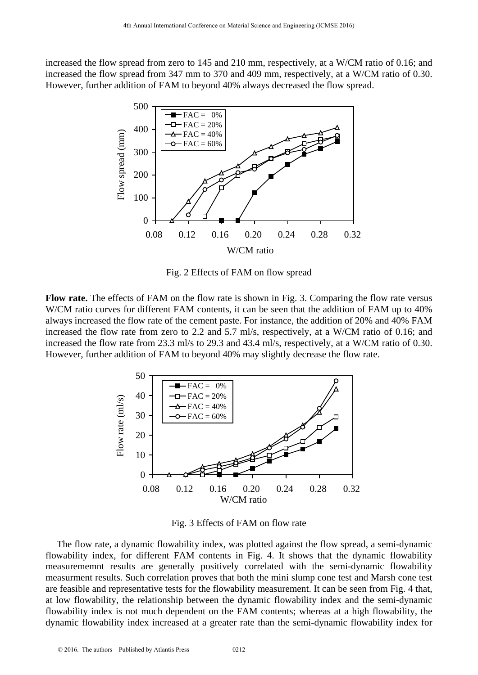increased the flow spread from zero to 145 and 210 mm, respectively, at a W/CM ratio of 0.16; and increased the flow spread from 347 mm to 370 and 409 mm, respectively, at a W/CM ratio of 0.30. However, further addition of FAM to beyond 40% always decreased the flow spread.



Fig. 2 Effects of FAM on flow spread

**Flow rate.** The effects of FAM on the flow rate is shown in Fig. 3. Comparing the flow rate versus W/CM ratio curves for different FAM contents, it can be seen that the addition of FAM up to 40% always increased the flow rate of the cement paste. For instance, the addition of 20% and 40% FAM increased the flow rate from zero to 2.2 and 5.7 ml/s, respectively, at a W/CM ratio of 0.16; and increased the flow rate from 23.3 ml/s to 29.3 and 43.4 ml/s, respectively, at a W/CM ratio of 0.30. However, further addition of FAM to beyond 40% may slightly decrease the flow rate.



Fig. 3 Effects of FAM on flow rate

The flow rate, a dynamic flowability index, was plotted against the flow spread, a semi-dynamic flowability index, for different FAM contents in Fig. 4. It shows that the dynamic flowability measurememnt results are generally positively correlated with the semi-dynamic flowability measurment results. Such correlation proves that both the mini slump cone test and Marsh cone test are feasible and representative tests for the flowability measurement. It can be seen from Fig. 4 that, at low flowability, the relationship between the dynamic flowability index and the semi-dynamic flowability index is not much dependent on the FAM contents; whereas at a high flowability, the dynamic flowability index increased at a greater rate than the semi-dynamic flowability index for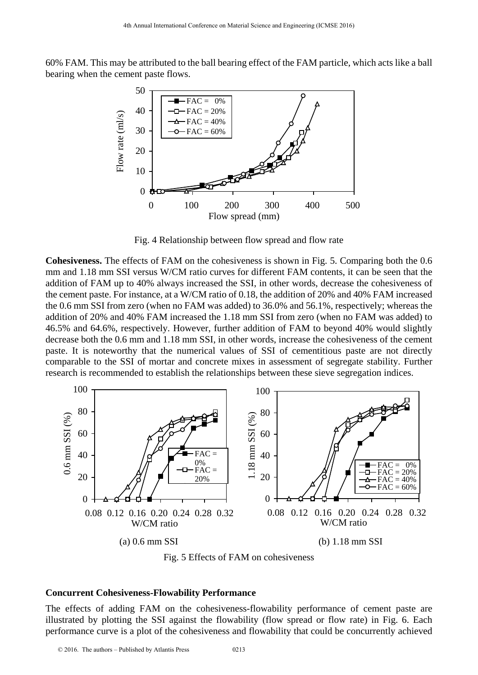60% FAM. This may be attributed to the ball bearing effect of the FAM particle, which acts like a ball bearing when the cement paste flows.



Fig. 4 Relationship between flow spread and flow rate

**Cohesiveness.** The effects of FAM on the cohesiveness is shown in Fig. 5. Comparing both the 0.6 mm and 1.18 mm SSI versus W/CM ratio curves for different FAM contents, it can be seen that the addition of FAM up to 40% always increased the SSI, in other words, decrease the cohesiveness of the cement paste. For instance, at a W/CM ratio of 0.18, the addition of 20% and 40% FAM increased the 0.6 mm SSI from zero (when no FAM was added) to 36.0% and 56.1%, respectively; whereas the addition of 20% and 40% FAM increased the 1.18 mm SSI from zero (when no FAM was added) to 46.5% and 64.6%, respectively. However, further addition of FAM to beyond 40% would slightly decrease both the 0.6 mm and 1.18 mm SSI, in other words, increase the cohesiveness of the cement paste. It is noteworthy that the numerical values of SSI of cementitious paste are not directly comparable to the SSI of mortar and concrete mixes in assessment of segregate stability. Further research is recommended to establish the relationships between these sieve segregation indices.



Fig. 5 Effects of FAM on cohesiveness

#### **Concurrent Cohesiveness-Flowability Performance**

The effects of adding FAM on the cohesiveness-flowability performance of cement paste are illustrated by plotting the SSI against the flowability (flow spread or flow rate) in Fig. 6. Each performance curve is a plot of the cohesiveness and flowability that could be concurrently achieved